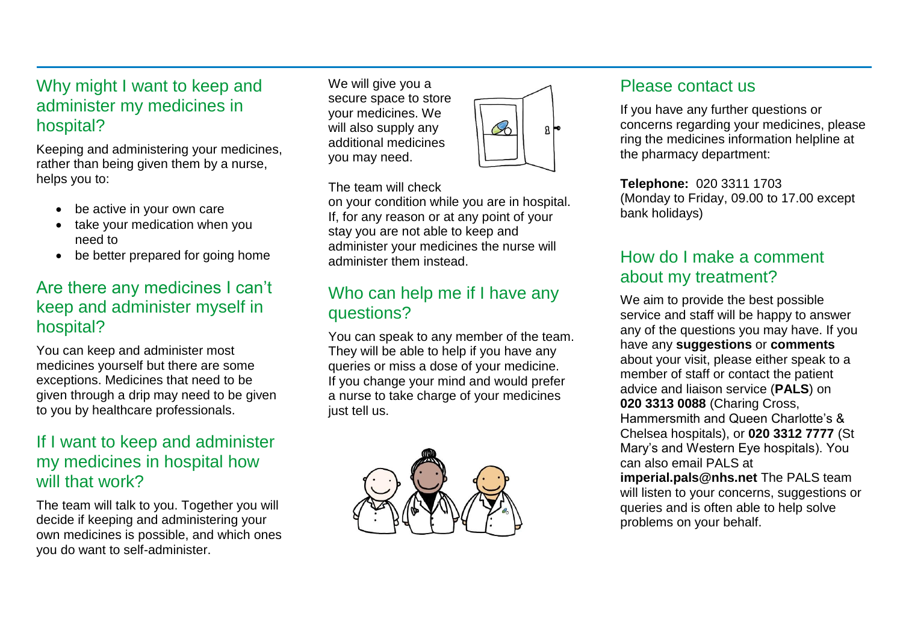#### Why might I want to keep and administer my medicines in hospital?

Keeping and administering your medicines, rather than being given them by a nurse, helps you to:

- be active in your own care
- take your medication when you need to
- be better prepared for going home

#### Are there any medicines I can't keep and administer myself in hospital?

You can keep and administer most medicines yourself but there are some exceptions. Medicines that need to be given through a drip may need to be given to you by healthcare professionals.

#### If I want to keep and administer my medicines in hospital how will that work?

The team will talk to you. Together you will decide if keeping and administering your own medicines is possible, and which ones you do want to self-administer.

We will give you a secure space to store your medicines. We will also supply any additional medicines you may need.

#### The team will check

on your condition while you are in hospital. If, for any reason or at any point of your stay you are not able to keep and administer your medicines the nurse will administer them instead.

 $\mathcal{S}_0$ 

## Who can help me if I have any questions?

You can speak to any member of the team. They will be able to help if you have any queries or miss a dose of your medicine. If you change your mind and would prefer a nurse to take charge of your medicines just tell us.



#### Please contact us

If you have any further questions or concerns regarding your medicines, please ring the medicines information helpline at the pharmacy department:

**Telephone:** 020 3311 1703 (Monday to Friday, 09.00 to 17.00 except bank holidays)

## How do I make a comment about my treatment?

We aim to provide the best possible service and staff will be happy to answer any of the questions you may have. If you have any **suggestions** or **comments** about your visit, please either speak to a member of staff or contact the patient advice and liaison service (**PALS**) on **020 3313 0088** (Charing Cross, Hammersmith and Queen Charlotte's & Chelsea hospitals), or **020 3312 7777** (St Mary's and Western Eye hospitals). You can also email PALS at **imperial.pals@nhs.net** The PALS team will listen to your concerns, suggestions or queries and is often able to help solve problems on your behalf.